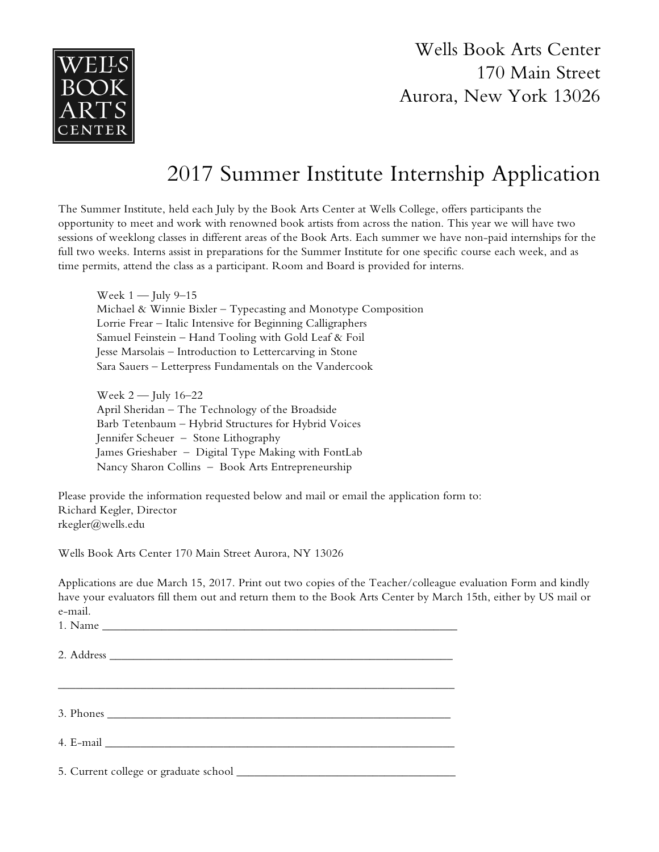

Wells Book Arts Center 170 Main Street Aurora, New York 13026

## 2017 Summer Institute Internship Application

The Summer Institute, held each July by the Book Arts Center at Wells College, offers participants the opportunity to meet and work with renowned book artists from across the nation. This year we will have two sessions of weeklong classes in different areas of the Book Arts. Each summer we have non-paid internships for the full two weeks. Interns assist in preparations for the Summer Institute for one specific course each week, and as time permits, attend the class as a participant. Room and Board is provided for interns.

Week  $1 -$  July 9–15 Michael & Winnie Bixler – Typecasting and Monotype Composition Lorrie Frear – Italic Intensive for Beginning Calligraphers Samuel Feinstein – Hand Tooling with Gold Leaf & Foil Jesse Marsolais – Introduction to Lettercarving in Stone Sara Sauers – Letterpress Fundamentals on the Vandercook

Week  $2$  — July 16–22 April Sheridan – The Technology of the Broadside Barb Tetenbaum – Hybrid Structures for Hybrid Voices Jennifer Scheuer – Stone Lithography James Grieshaber – Digital Type Making with FontLab Nancy Sharon Collins – Book Arts Entrepreneurship

Please provide the information requested below and mail or email the application form to: Richard Kegler, Director rkegler@wells.edu

Wells Book Arts Center 170 Main Street Aurora, NY 13026

Applications are due March 15, 2017. Print out two copies of the Teacher/colleague evaluation Form and kindly have your evaluators fill them out and return them to the Book Arts Center by March 15th, either by US mail or e-mail.

 $1.$  Name

2. Address

3. Phones  $\overline{\phantom{a}}$ 

4. E-mail \_\_\_\_\_\_\_\_\_\_\_\_\_\_\_\_\_\_\_\_\_\_\_\_\_\_\_\_\_\_\_\_\_\_\_\_\_\_\_\_\_\_\_\_\_\_\_\_\_\_\_\_\_\_\_\_\_\_\_

5. Current college or graduate school \_\_\_\_\_\_\_\_\_\_\_\_\_\_\_\_\_\_\_\_\_\_\_\_\_\_\_\_\_\_\_\_\_\_\_\_\_

 $\mathcal{L}_\text{max}$  and  $\mathcal{L}_\text{max}$  and  $\mathcal{L}_\text{max}$  and  $\mathcal{L}_\text{max}$  and  $\mathcal{L}_\text{max}$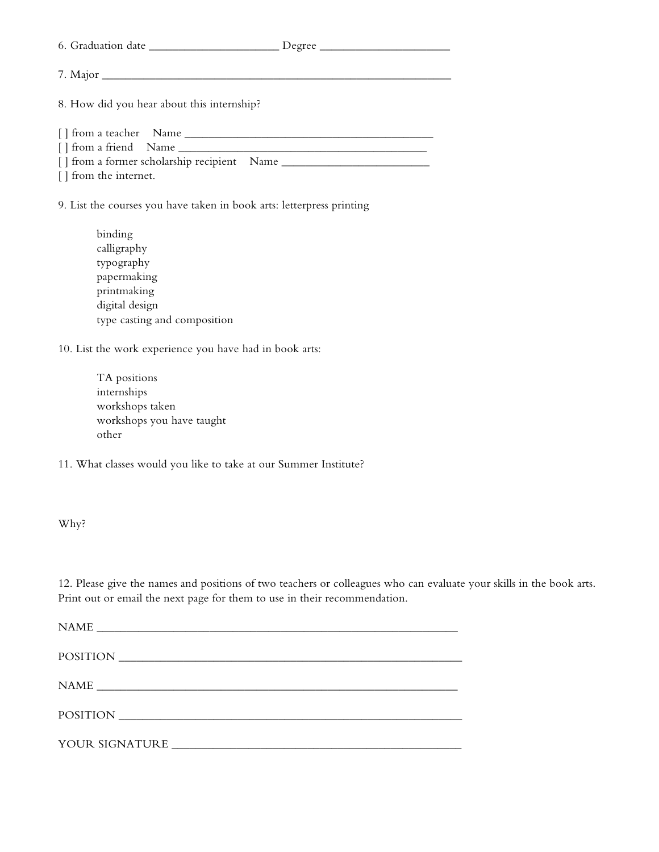6. Graduation date \_\_\_\_\_\_\_\_\_\_\_\_\_\_\_\_\_\_\_\_\_\_ Degree \_\_\_\_\_\_\_\_\_\_\_\_\_\_\_\_\_\_\_\_\_\_

| ۰. |
|----|
|    |

7. Major \_\_\_\_\_\_\_\_\_\_\_\_\_\_\_\_\_\_\_\_\_\_\_\_\_\_\_\_\_\_\_\_\_\_\_\_\_\_\_\_\_\_\_\_\_\_\_\_\_\_\_\_\_\_\_\_\_\_\_

8. How did you hear about this internship?

[ ] from a teacher Name \_\_\_\_\_\_\_\_\_\_\_\_\_\_\_\_\_\_\_\_\_\_\_\_\_\_\_\_\_\_\_\_\_\_\_\_\_\_\_\_\_\_ [ ] from a friend Name \_\_\_\_\_\_\_\_\_\_\_\_\_\_\_\_\_\_\_\_\_\_\_\_\_\_\_\_\_\_\_\_\_\_\_\_\_\_\_\_\_\_ [ ] from a former scholarship recipient Name

[ ] from the internet.

9. List the courses you have taken in book arts: letterpress printing

binding calligraphy typography papermaking printmaking digital design type casting and composition

10. List the work experience you have had in book arts:

TA positions internships workshops taken workshops you have taught other

11. What classes would you like to take at our Summer Institute?

Why?

12. Please give the names and positions of two teachers or colleagues who can evaluate your skills in the book arts. Print out or email the next page for them to use in their recommendation.